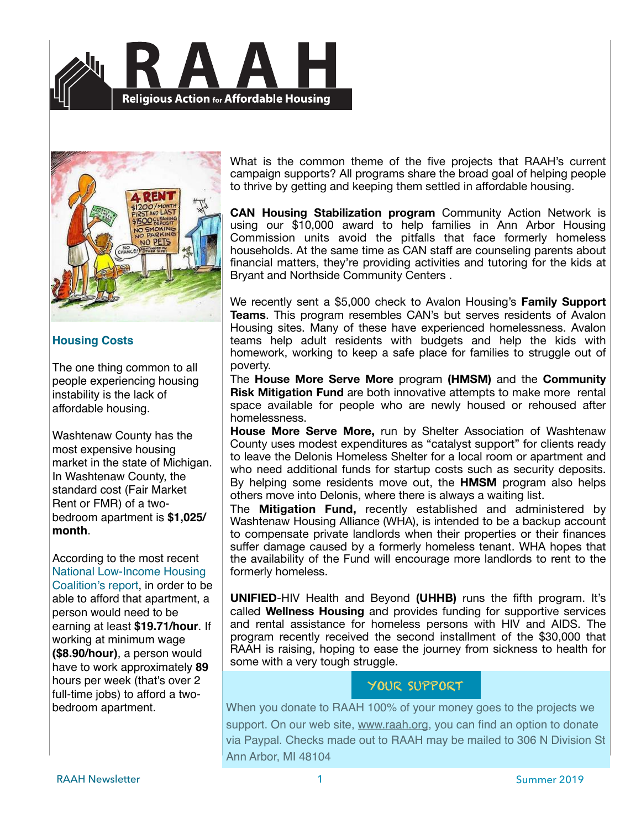



### **Housing Costs**

The one thing common to all people experiencing housing instability is the lack of affordable housing.

Washtenaw County has the most expensive housing market in the state of Michigan. In Washtenaw County, the standard cost (Fair Market Rent or FMR) of a twobedroom apartment is **\$1,025/ month**.

According to the most recent [National Low-Income Housing](http://nlihc.org/oor/michigan)  [Coalition's report,](http://nlihc.org/oor/michigan) in order to be able to afford that apartment, a person would need to be earning at least **\$19.71/hour**. If working at minimum wage **(\$8.90/hour)**, a person would have to work approximately **89** hours per week (that's over 2 full-time jobs) to afford a twobedroom apartment.

What is the common theme of the five projects that RAAH's current campaign supports? All programs share the broad goal of helping people to thrive by getting and keeping them settled in affordable housing.

**CAN Housing Stabilization program** Community Action Network is using our \$10,000 award to help families in Ann Arbor Housing Commission units avoid the pitfalls that face formerly homeless households. At the same time as CAN staff are counseling parents about financial matters, they're providing activities and tutoring for the kids at Bryant and Northside Community Centers .

We recently sent a \$5,000 check to Avalon Housing's **Family Support Teams**. This program resembles CAN's but serves residents of Avalon Housing sites. Many of these have experienced homelessness. Avalon teams help adult residents with budgets and help the kids with homework, working to keep a safe place for families to struggle out of poverty.

The **House More Serve More** program **(HMSM)** and the **Community Risk Mitigation Fund** are both innovative attempts to make more rental space available for people who are newly housed or rehoused after homelessness.

**House More Serve More,** run by Shelter Association of Washtenaw County uses modest expenditures as "catalyst support" for clients ready to leave the Delonis Homeless Shelter for a local room or apartment and who need additional funds for startup costs such as security deposits. By helping some residents move out, the **HMSM** program also helps others move into Delonis, where there is always a waiting list.

The **Mitigation Fund,** recently established and administered by Washtenaw Housing Alliance (WHA), is intended to be a backup account to compensate private landlords when their properties or their finances suffer damage caused by a formerly homeless tenant. WHA hopes that the availability of the Fund will encourage more landlords to rent to the formerly homeless.

**UNIFIED**-HIV Health and Beyond **(UHHB)** runs the fifth program. It's called **Wellness Housing** and provides funding for supportive services and rental assistance for homeless persons with HIV and AIDS. The program recently received the second installment of the \$30,000 that RAAH is raising, hoping to ease the journey from sickness to health for some with a very tough struggle.

## YOUR SUPPORT

When you donate to RAAH 100% of your money goes to the projects we support. On our web site, [www.raah.org](http://www.raah.org), you can find an option to donate via Paypal. Checks made out to RAAH may be mailed to 306 N Division St Ann Arbor, MI 48104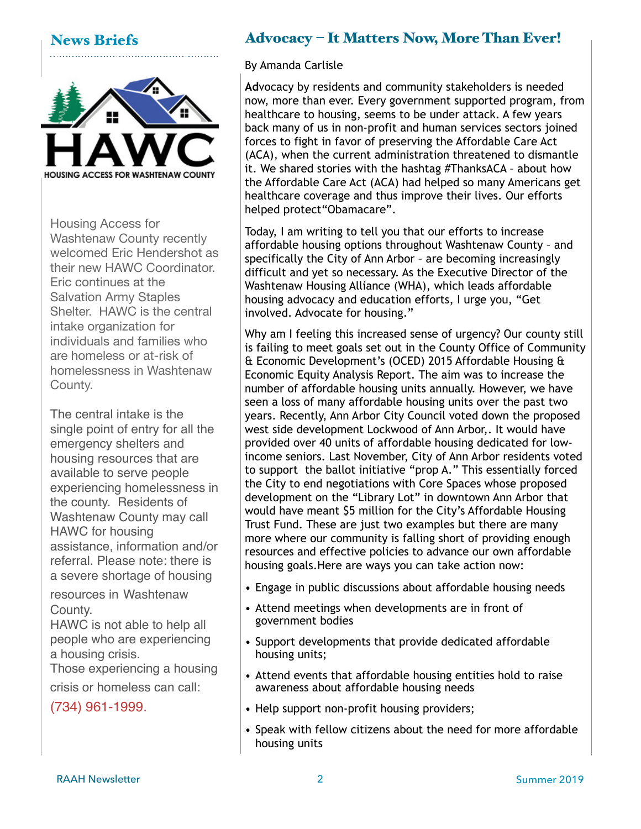## News Briefs



Housing Access for Washtenaw County recently welcomed Eric Hendershot as their new HAWC Coordinator. Eric continues at the Salvation Army Staples Shelter. HAWC is the central intake organization for individuals and families who are homeless or at-risk of homelessness in Washtenaw County.

The central intake is the single point of entry for all the emergency shelters and housing resources that are available to serve people experiencing homelessness in the county. Residents of Washtenaw County may call HAWC for housing assistance, information and/or referral. Please note: there is a severe shortage of housing

resources in Washtenaw County.

HAWC is not able to help all people who are experiencing a housing crisis.

Those experiencing a housing

crisis or homeless can call:

(734) 961-1999.

# Advocacy – It Matters Now, More Than Ever!

By Amanda Carlisle

**Ad**vocacy by residents and community stakeholders is needed now, more than ever. Every government supported program, from healthcare to housing, seems to be under attack. A few years back many of us in non-profit and human services sectors joined forces to fight in favor of preserving the Affordable Care Act (ACA), when the current administration threatened to dismantle it. We shared stories with the hashtag #ThanksACA – about how the Affordable Care Act (ACA) had helped so many Americans get healthcare coverage and thus improve their lives. Our efforts helped protect"Obamacare".

Today, I am writing to tell you that our efforts to increase affordable housing options throughout Washtenaw County – and specifically the City of Ann Arbor – are becoming increasingly difficult and yet so necessary. As the Executive Director of the Washtenaw Housing Alliance (WHA), which leads affordable housing advocacy and education efforts, I urge you, "Get involved. Advocate for housing."

Why am I feeling this increased sense of urgency? Our county still is failing to meet goals set out in the County Office of Community & Economic Development's (OCED) 2015 Affordable Housing & Economic Equity Analysis Report. The aim was to increase the number of affordable housing units annually. However, we have seen a loss of many affordable housing units over the past two years. Recently, Ann Arbor City Council voted down the proposed west side development Lockwood of Ann Arbor,. It would have provided over 40 units of affordable housing dedicated for lowincome seniors. Last November, City of Ann Arbor residents voted to support the ballot initiative "prop A." This essentially forced the City to end negotiations with Core Spaces whose proposed development on the "Library Lot" in downtown Ann Arbor that would have meant \$5 million for the City's Affordable Housing Trust Fund. These are just two examples but there are many more where our community is falling short of providing enough resources and effective policies to advance our own affordable housing goals.Here are ways you can take action now:

- Engage in public discussions about affordable housing needs
- Attend meetings when developments are in front of government bodies
- Support developments that provide dedicated affordable housing units;
- Attend events that affordable housing entities hold to raise awareness about affordable housing needs
- Help support non-profit housing providers;
- Speak with fellow citizens about the need for more affordable housing units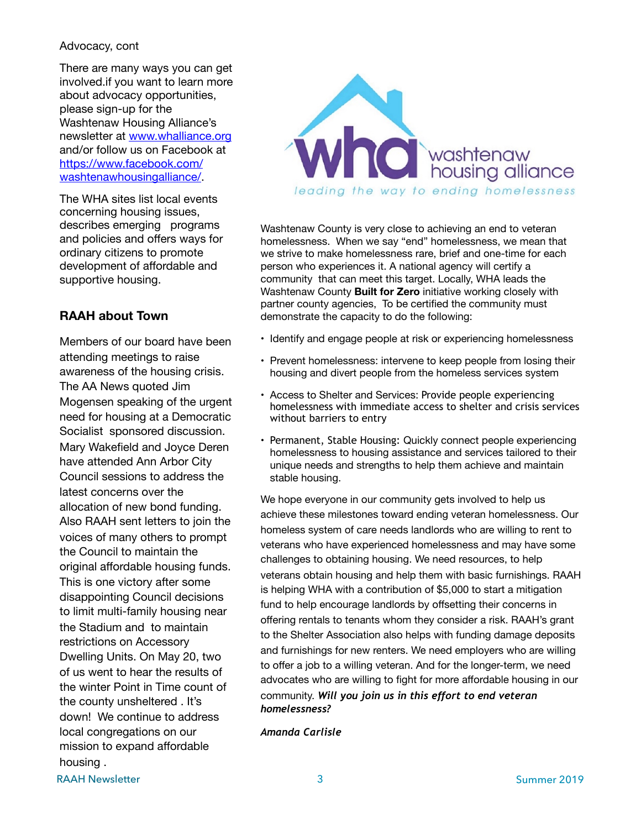#### Advocacy, cont

There are many ways you can get involved.if you want to learn more about advocacy opportunities, please sign-up for the Washtenaw Housing Alliance's newsletter at [www.whalliance.org](http://www.whalliance.org) and/or follow us on Facebook at [https://www.facebook.com/](https://www.facebook.com/washtenawhousingalliance/) [washtenawhousingalliance/](https://www.facebook.com/washtenawhousingalliance/).

The WHA sites list local events concerning housing issues, describes emerging programs and policies and offers ways for ordinary citizens to promote development of affordable and supportive housing.

### **RAAH about Town**

Members of our board have been attending meetings to raise awareness of the housing crisis. The AA News quoted Jim Mogensen speaking of the urgent need for housing at a Democratic Socialist sponsored discussion. Mary Wakefield and Joyce Deren have attended Ann Arbor City Council sessions to address the latest concerns over the allocation of new bond funding. Also RAAH sent letters to join the voices of many others to prompt the Council to maintain the original affordable housing funds. This is one victory after some disappointing Council decisions to limit multi-family housing near the Stadium and to maintain restrictions on Accessory Dwelling Units. On May 20, two of us went to hear the results of the winter Point in Time count of the county unsheltered . It's down! We continue to address local congregations on our mission to expand affordable housing .



Washtenaw County is very close to achieving an end to veteran homelessness. When we say "end" homelessness, we mean that we strive to make homelessness rare, brief and one-time for each person who experiences it. A national agency will certify a community that can meet this target. Locally, WHA leads the Washtenaw County **Built for Zero** initiative working closely with partner county agencies, To be certified the community must demonstrate the capacity to do the following:

- Identify and engage people at risk or experiencing homelessness
- Prevent homelessness: intervene to keep people from losing their housing and divert people from the homeless services system
- Access to Shelter and Services: Provide people experiencing homelessness with immediate access to shelter and crisis services without barriers to entry
- Permanent, Stable Housing: Quickly connect people experiencing homelessness to housing assistance and services tailored to their unique needs and strengths to help them achieve and maintain stable housing.

We hope everyone in our community gets involved to help us achieve these milestones toward ending veteran homelessness. Our homeless system of care needs landlords who are willing to rent to veterans who have experienced homelessness and may have some challenges to obtaining housing. We need resources, to help veterans obtain housing and help them with basic furnishings. RAAH is helping WHA with a contribution of \$5,000 to start a mitigation fund to help encourage landlords by offsetting their concerns in offering rentals to tenants whom they consider a risk. RAAH's grant to the Shelter Association also helps with funding damage deposits and furnishings for new renters. We need employers who are willing to offer a job to a willing veteran. And for the longer-term, we need advocates who are willing to fight for more affordable housing in our community. *Will you join us in this effort to end veteran homelessness?* 

*Amanda Carlisle*

RAAH Newsletter 3 Summer 2019